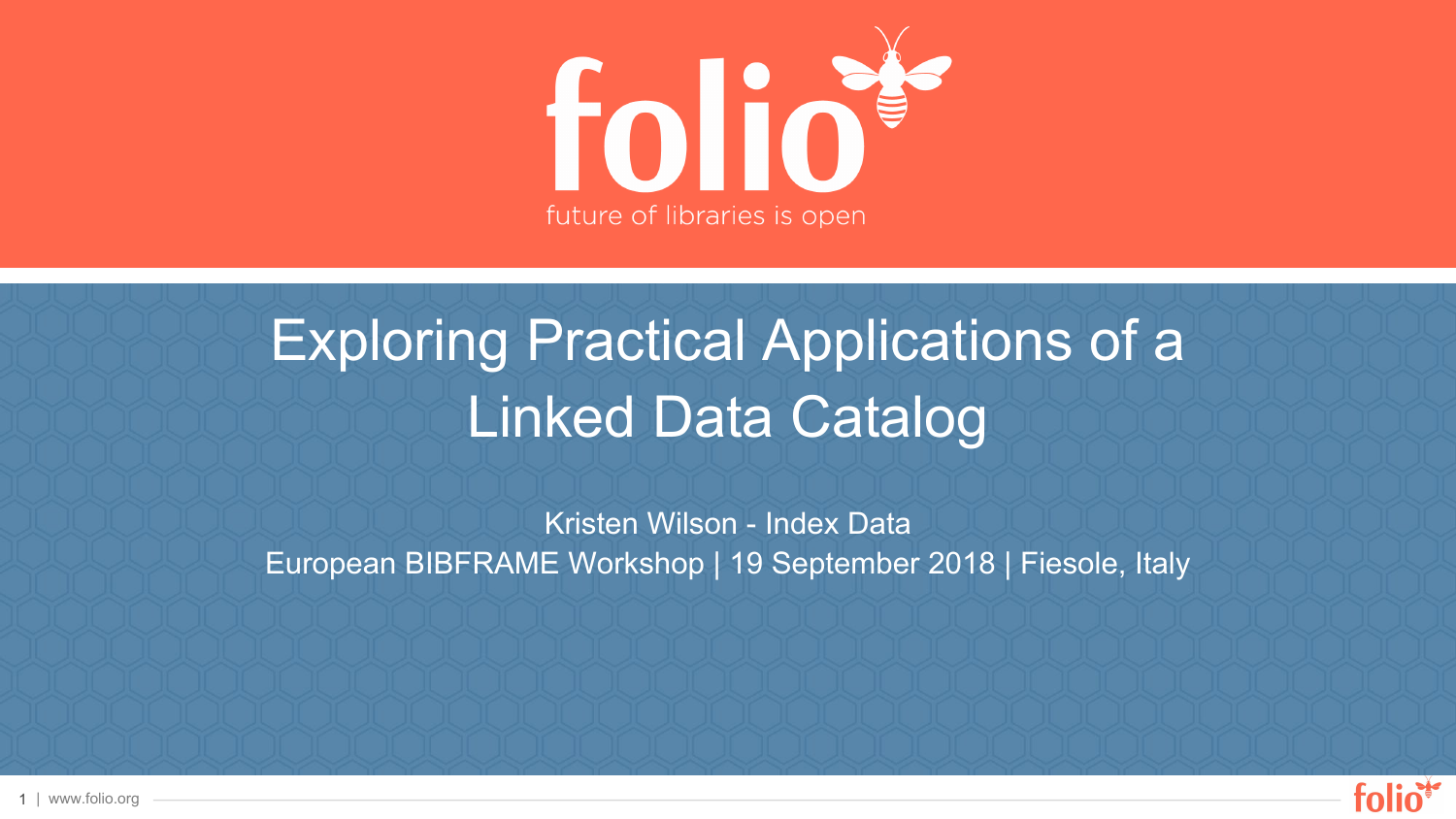

# Exploring Practical Applications of a Linked Data Catalog

Kristen Wilson - Index Data European BIBFRAME Workshop | 19 September 2018 | Fiesole, Italy



1 | www.folio.org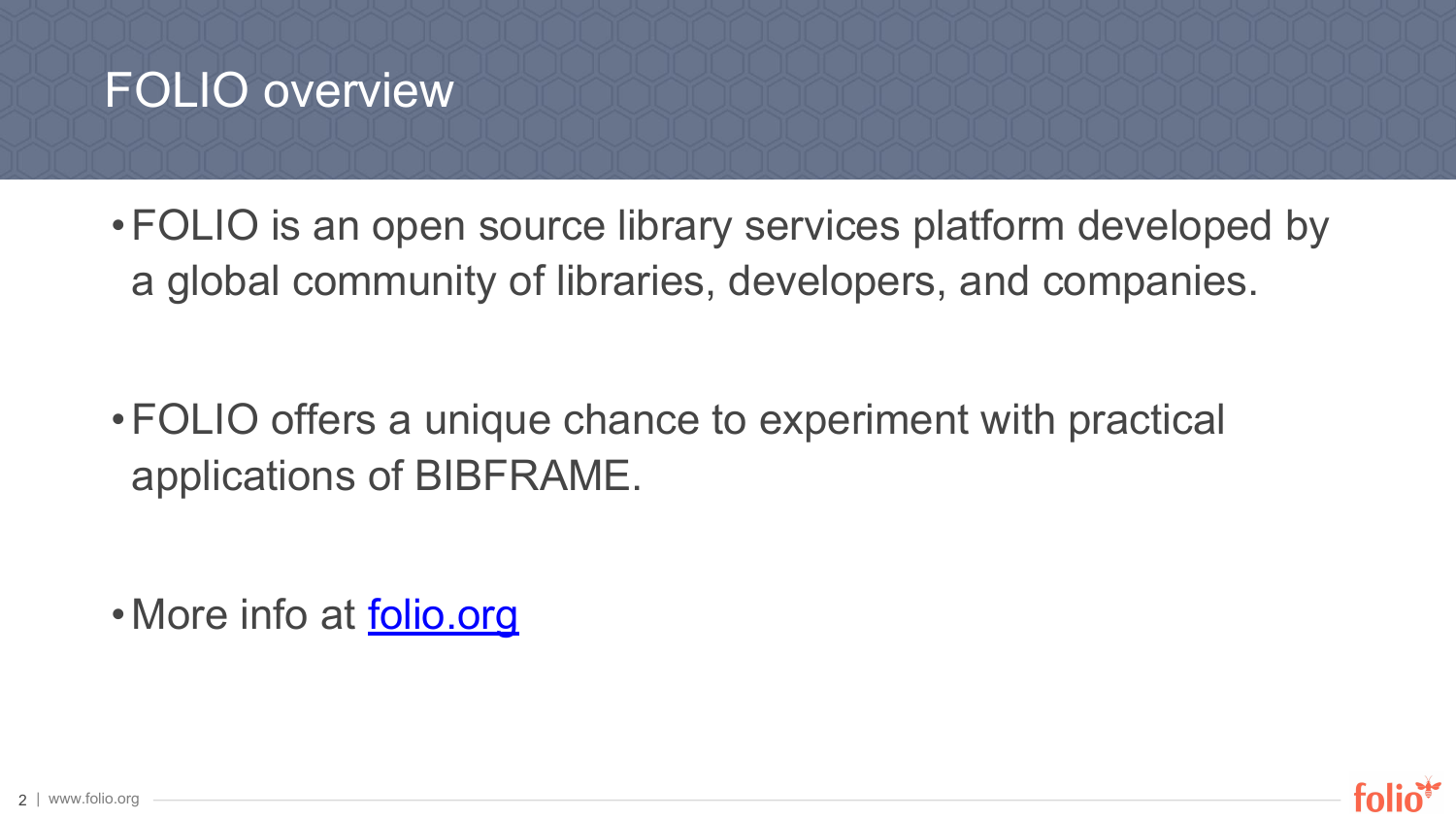## FOLIO overview

•FOLIO is an open source library services platform developed by a global community of libraries, developers, and companies.

•FOLIO offers a unique chance to experiment with practical applications of BIBFRAME.

• More info at [folio.org](http://folio.org)

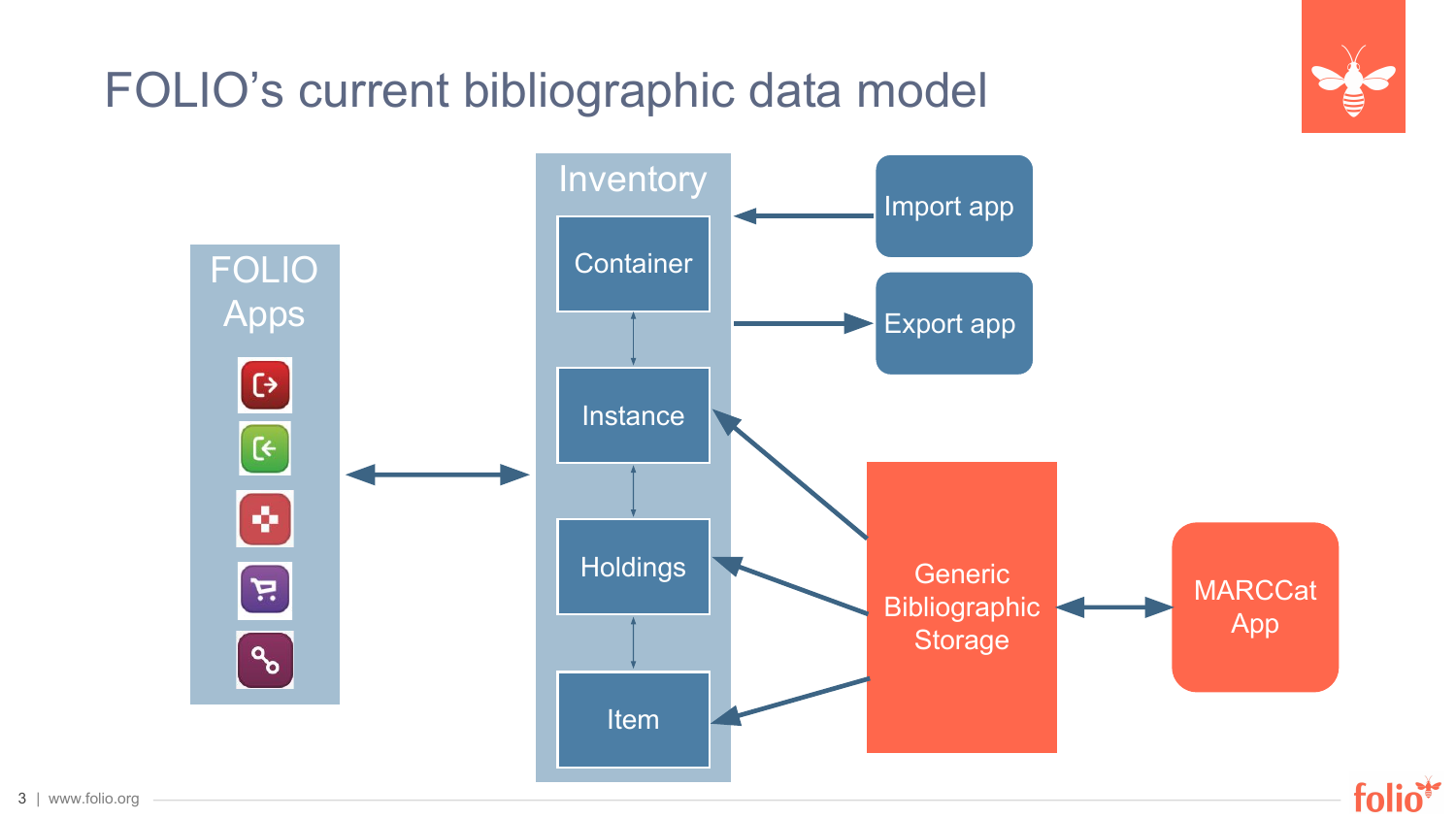## FOLIO's current bibliographic data model

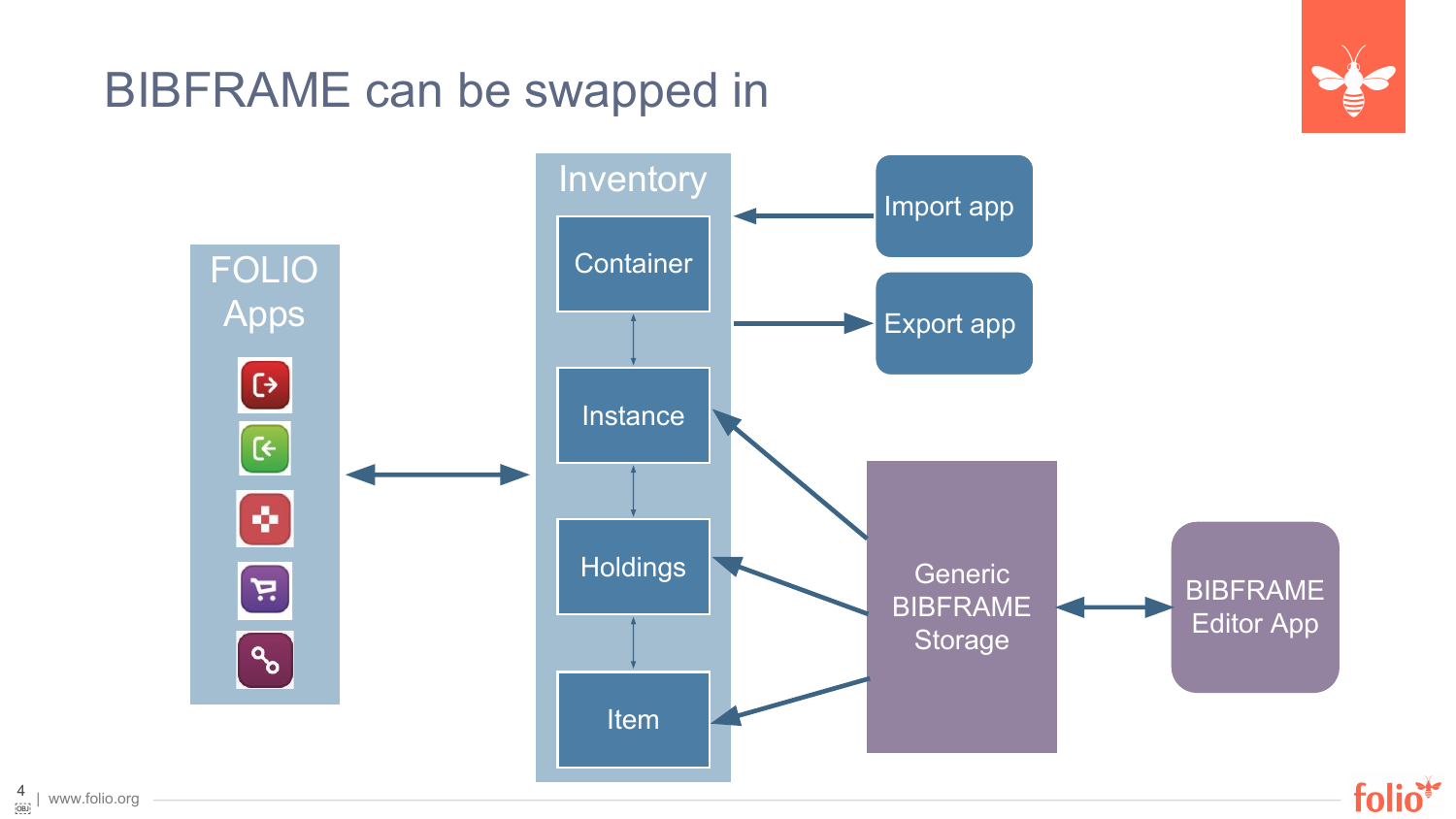## BIBFRAME can be swapped in



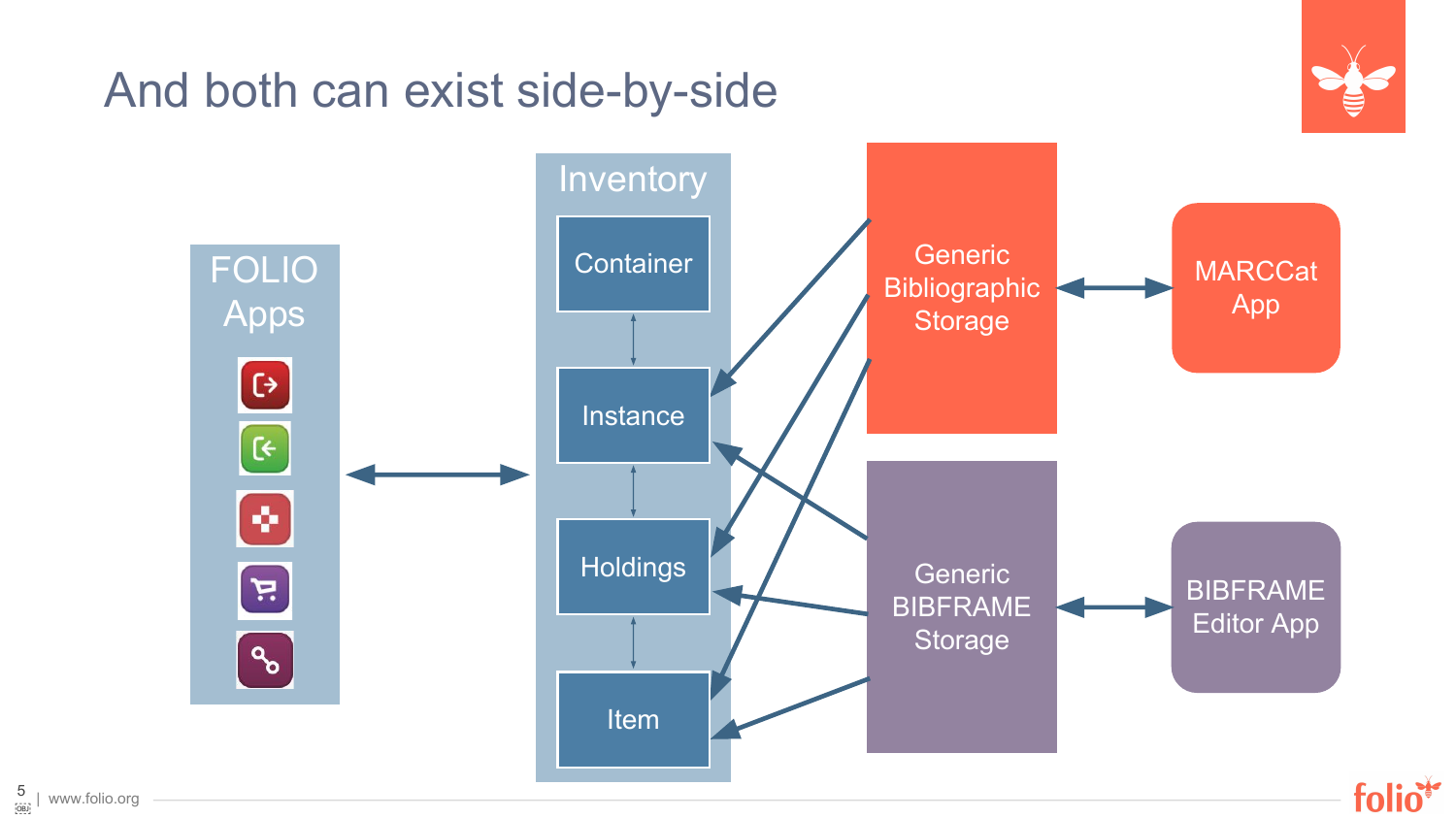## And both can exist side-by-side



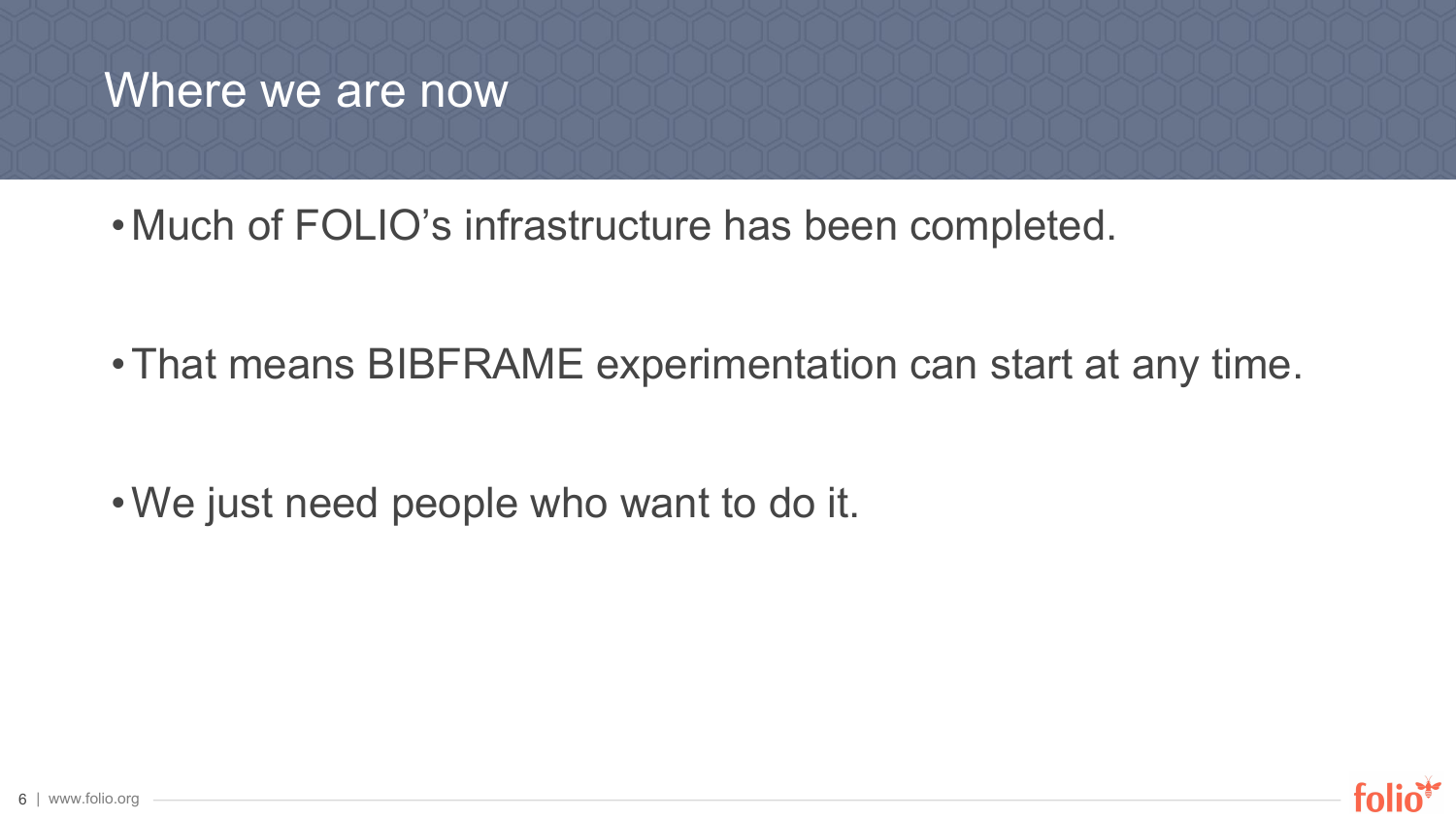### Where we are now

• Much of FOLIO's infrastructure has been completed.

•That means BIBFRAME experimentation can start at any time.

•We just need people who want to do it.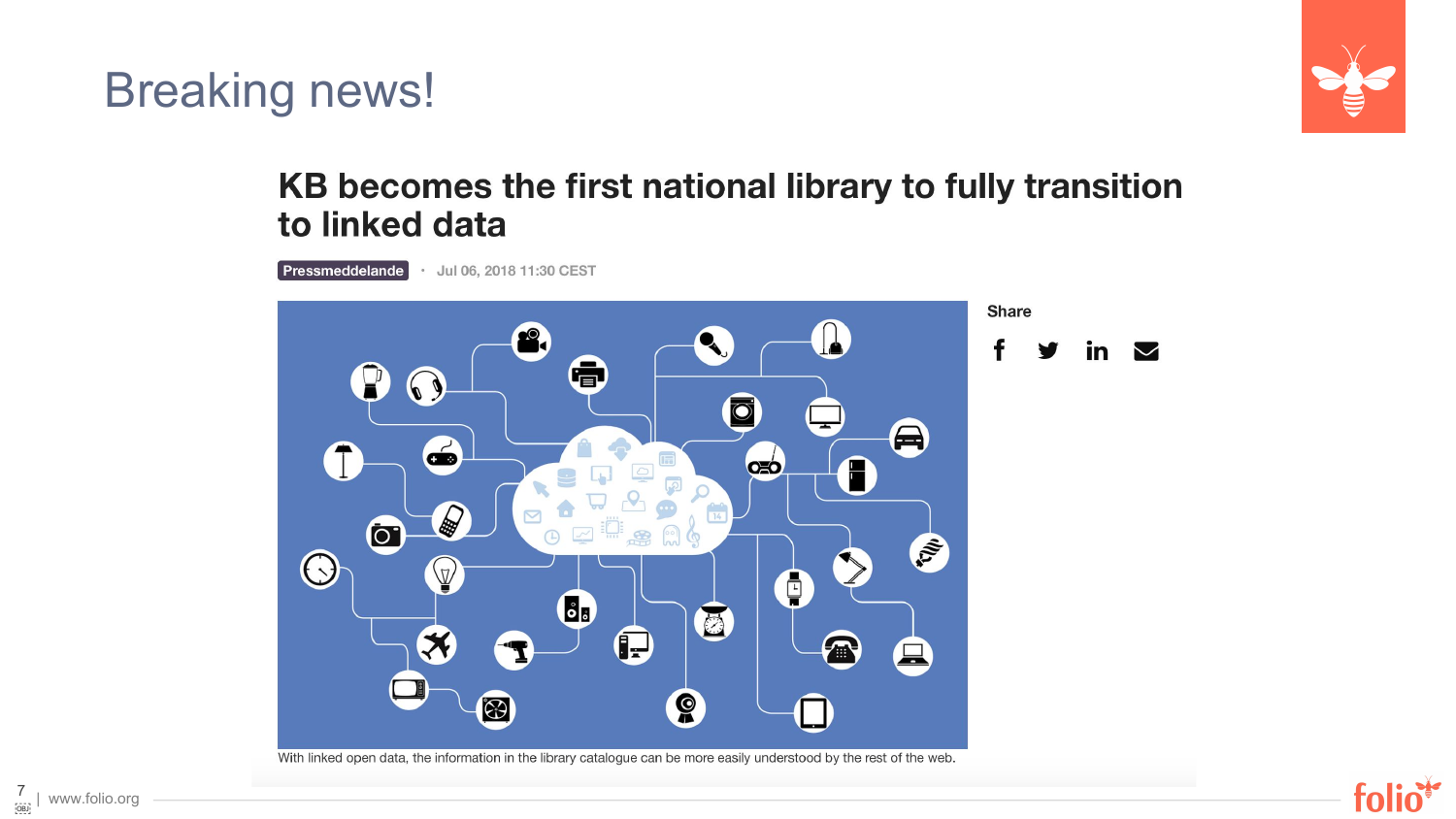Breaking news!



#### KB becomes the first national library to fully transition to linked data

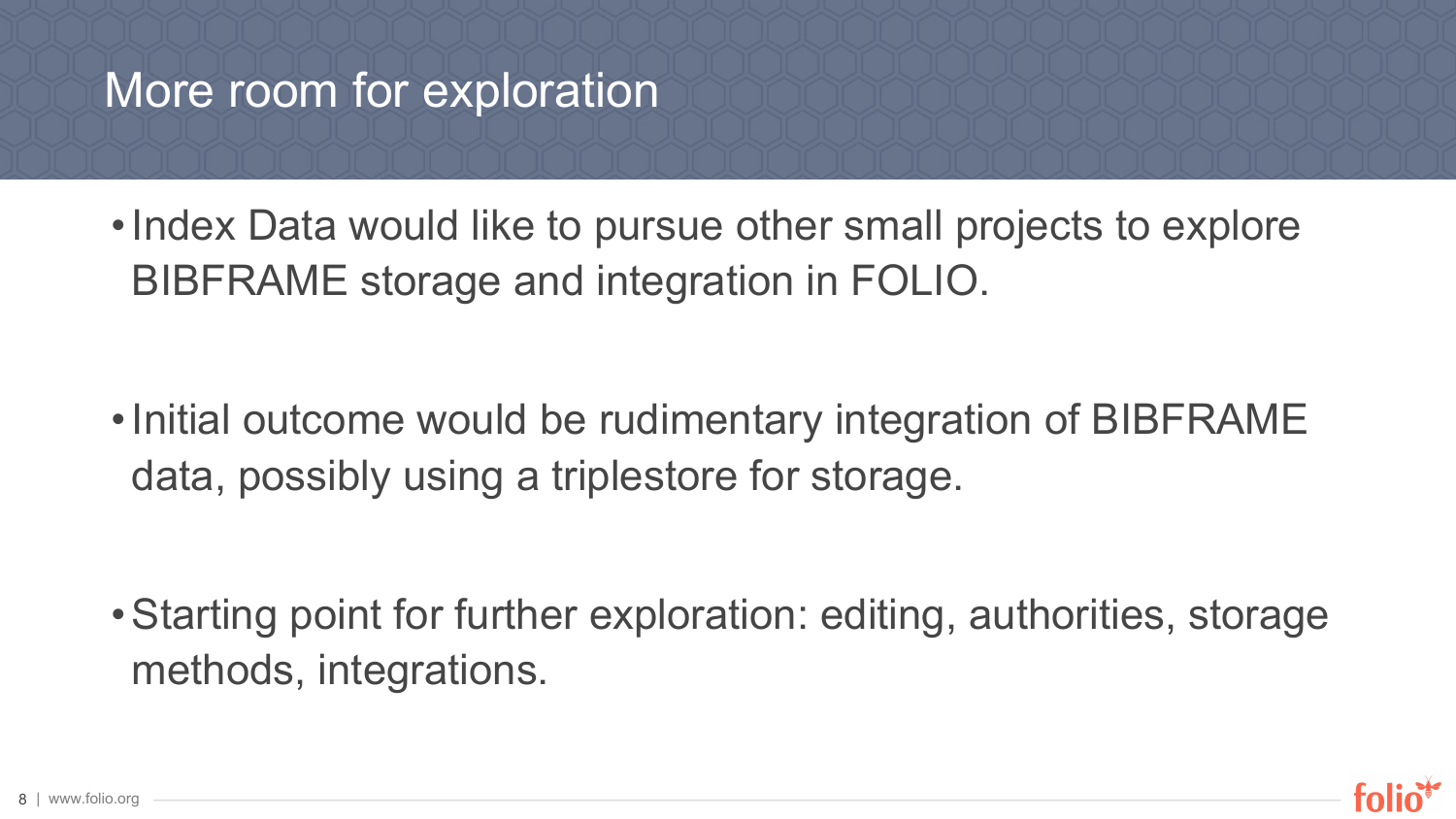## More room for exploration

• Index Data would like to pursue other small projects to explore BIBFRAME storage and integration in FOLIO.

• Initial outcome would be rudimentary integration of BIBFRAME data, possibly using a triplestore for storage.

•Starting point for further exploration: editing, authorities, storage methods, integrations.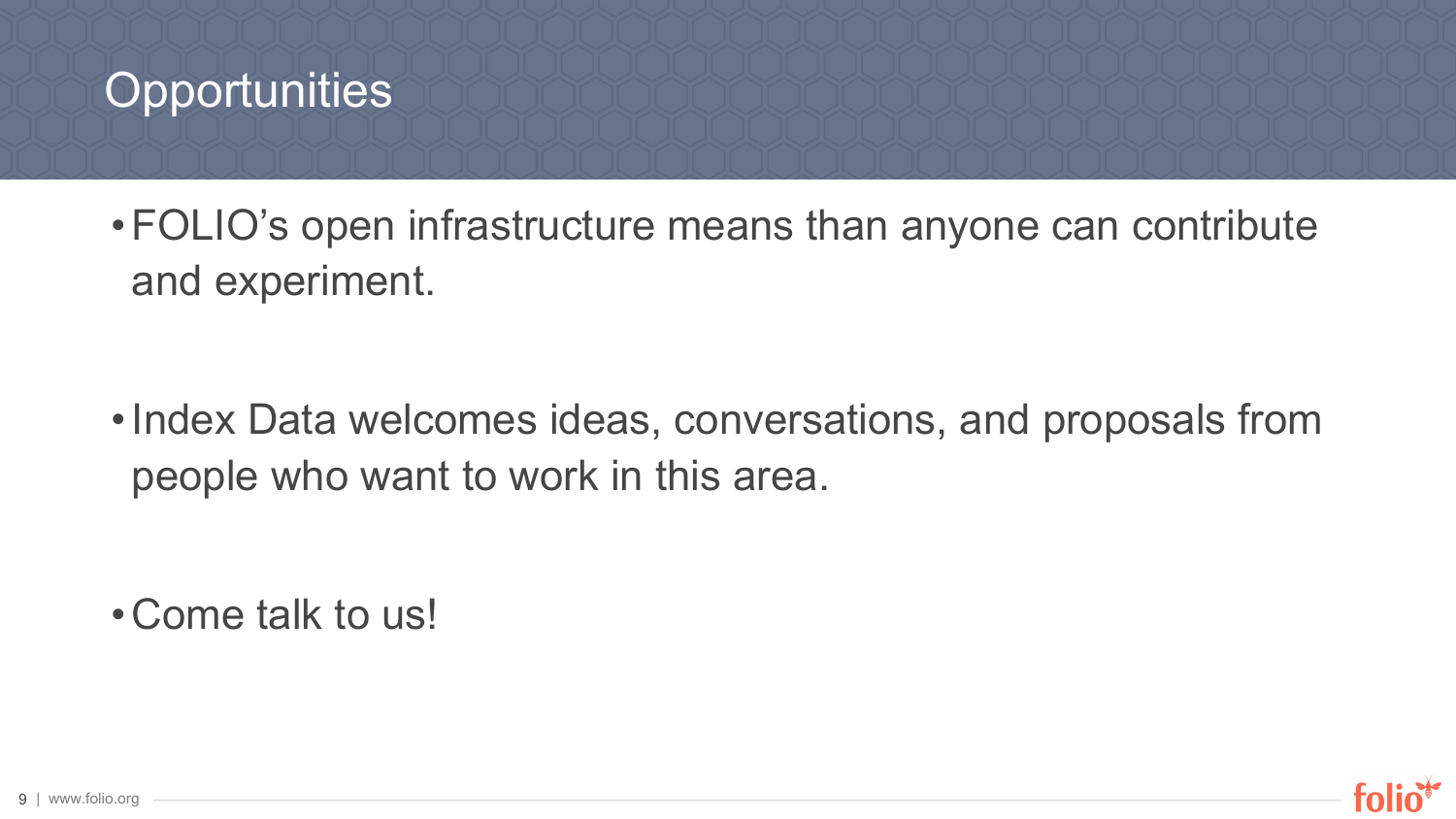## **Opportunities**

•FOLIO's open infrastructure means than anyone can contribute and experiment.

• Index Data welcomes ideas, conversations, and proposals from people who want to work in this area.

•Come talk to us!